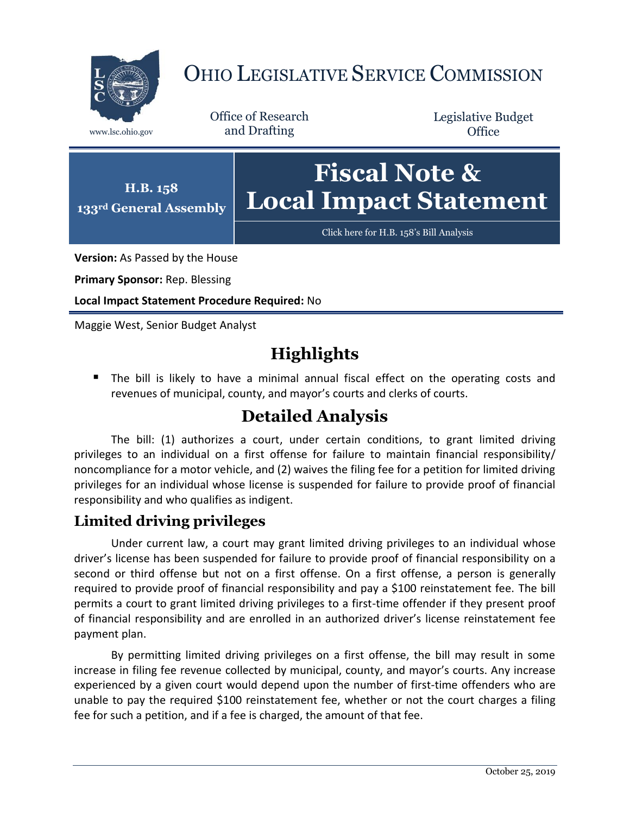

# OHIO LEGISLATIVE SERVICE COMMISSION

Office of Research www.lsc.ohio.gov and Drafting

Legislative Budget **Office** 



[Click here for H.B. 158](https://www.legislature.ohio.gov/legislation/legislation-documents?id=GA133-HB-158)'s Bill Analysis

**Version:** As Passed by the House

**Primary Sponsor:** Rep. Blessing

**Local Impact Statement Procedure Required:** No

Maggie West, Senior Budget Analyst

# **Highlights**

 The bill is likely to have a minimal annual fiscal effect on the operating costs and revenues of municipal, county, and mayor's courts and clerks of courts.

## **Detailed Analysis**

The bill: (1) authorizes a court, under certain conditions, to grant limited driving privileges to an individual on a first offense for failure to maintain financial responsibility/ noncompliance for a motor vehicle, and (2) waives the filing fee for a petition for limited driving privileges for an individual whose license is suspended for failure to provide proof of financial responsibility and who qualifies as indigent.

### **Limited driving privileges**

Under current law, a court may grant limited driving privileges to an individual whose driver's license has been suspended for failure to provide proof of financial responsibility on a second or third offense but not on a first offense. On a first offense, a person is generally required to provide proof of financial responsibility and pay a \$100 reinstatement fee. The bill permits a court to grant limited driving privileges to a first-time offender if they present proof of financial responsibility and are enrolled in an authorized driver's license reinstatement fee payment plan.

By permitting limited driving privileges on a first offense, the bill may result in some increase in filing fee revenue collected by municipal, county, and mayor's courts. Any increase experienced by a given court would depend upon the number of first-time offenders who are unable to pay the required \$100 reinstatement fee, whether or not the court charges a filing fee for such a petition, and if a fee is charged, the amount of that fee.